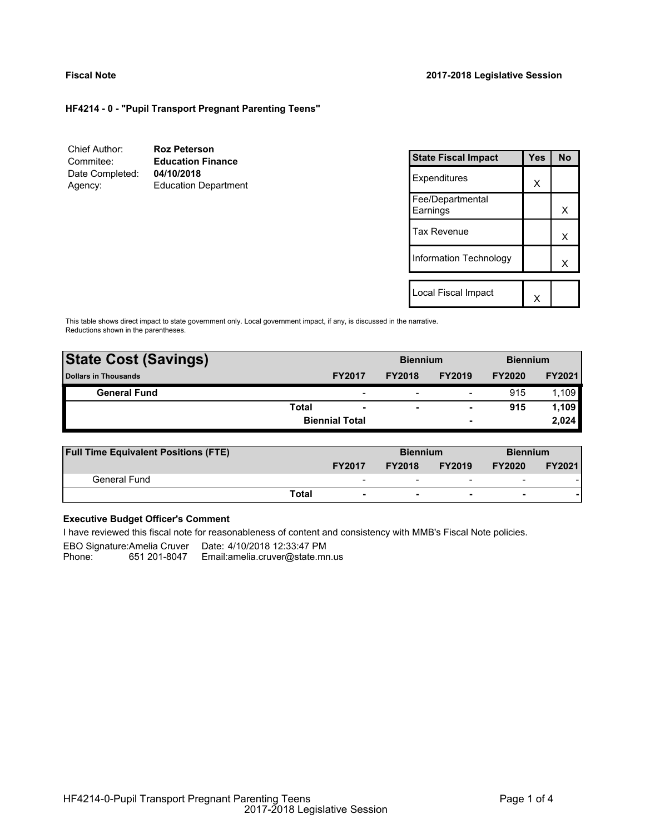# **Fiscal Note 2017-2018 Legislative Session**

# **HF4214 - 0 - "Pupil Transport Pregnant Parenting Teens"**

| Chief Author:<br>Commitee: | <b>Roz Peterson</b><br><b>Education Finance</b> | <b>State Fiscal Impact</b>   |                        | <b>Yes</b> | <b>No</b> |
|----------------------------|-------------------------------------------------|------------------------------|------------------------|------------|-----------|
| Date Completed:<br>Agency: | 04/10/2018<br><b>Education Department</b>       | Expenditures                 |                        | X          |           |
|                            |                                                 | Fee/Departmental<br>Earnings |                        |            | X         |
|                            |                                                 | <b>Tax Revenue</b>           |                        |            | х         |
|                            |                                                 |                              | Information Technology |            |           |
|                            |                                                 |                              |                        |            |           |
|                            |                                                 | Local Fiscal Impact          |                        | X          |           |

This table shows direct impact to state government only. Local government impact, if any, is discussed in the narrative. Reductions shown in the parentheses.

| <b>State Cost (Savings)</b> |       |                          | <b>Biennium</b> |                          | <b>Biennium</b> |               |  |
|-----------------------------|-------|--------------------------|-----------------|--------------------------|-----------------|---------------|--|
| <b>Dollars in Thousands</b> |       | <b>FY2017</b>            | <b>FY2018</b>   | <b>FY2019</b>            | <b>FY2020</b>   | <b>FY2021</b> |  |
| <b>General Fund</b>         |       | $\overline{\phantom{a}}$ |                 | $\overline{\phantom{a}}$ | 915             | 1.109         |  |
|                             | Total | $\blacksquare$           | ۰               | $\blacksquare$           | 915             | 1.109         |  |
|                             |       | <b>Biennial Total</b>    |                 | $\sim$                   |                 | 2,024         |  |
|                             |       |                          |                 |                          |                 |               |  |

| <b>Full Time Equivalent Positions (FTE)</b> |                                   |               | <b>Biennium</b>          |                          | <b>Biennium</b> |  |  |
|---------------------------------------------|-----------------------------------|---------------|--------------------------|--------------------------|-----------------|--|--|
|                                             | <b>FY2017</b>                     | <b>FY2018</b> | <b>FY2019</b>            | <b>FY2020</b>            | <b>FY2021</b>   |  |  |
| General Fund                                | $\overline{\phantom{0}}$          |               |                          | $\overline{\phantom{0}}$ |                 |  |  |
|                                             | Total<br>$\overline{\phantom{a}}$ | -             | $\overline{\phantom{0}}$ | -                        |                 |  |  |

# **Executive Budget Officer's Comment**

I have reviewed this fiscal note for reasonableness of content and consistency with MMB's Fiscal Note policies.

EBO Signature:Amelia Cruver Date: 4/10/2018 12:33:47 PM Phone: 651 201-8047 - Email:amelia.cruver@state.mn.us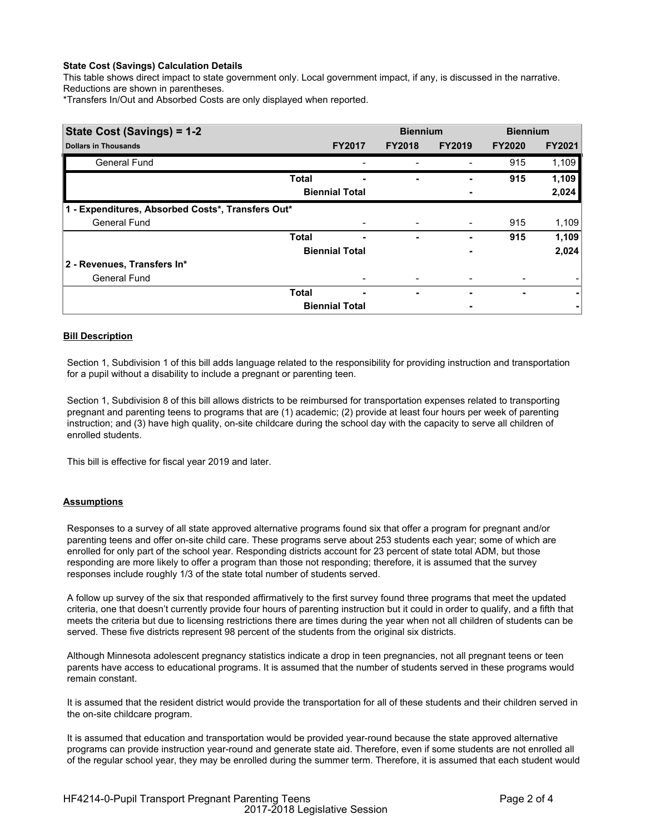# **State Cost (Savings) Calculation Details**

This table shows direct impact to state government only. Local government impact, if any, is discussed in the narrative. Reductions are shown in parentheses.

\*Transfers In/Out and Absorbed Costs are only displayed when reported.

| State Cost (Savings) = 1-2                        |              |                          | <b>Biennium</b> |                | <b>Biennium</b> |               |  |
|---------------------------------------------------|--------------|--------------------------|-----------------|----------------|-----------------|---------------|--|
| <b>Dollars in Thousands</b>                       |              | <b>FY2017</b>            | <b>FY2018</b>   | <b>FY2019</b>  | <b>FY2020</b>   | <b>FY2021</b> |  |
| <b>General Fund</b>                               |              |                          |                 |                | 915             | 1,109         |  |
|                                                   | <b>Total</b> | ٠                        | ۰               |                | 915             | 1,109         |  |
|                                                   |              | <b>Biennial Total</b>    |                 |                |                 | 2,024         |  |
| 1 - Expenditures, Absorbed Costs*, Transfers Out* |              |                          |                 |                |                 |               |  |
| <b>General Fund</b>                               |              |                          |                 | $\blacksquare$ | 915             | 1,109         |  |
|                                                   | <b>Total</b> | -                        | ٠               | ٠              | 915             | 1,109         |  |
|                                                   |              | <b>Biennial Total</b>    |                 |                |                 | 2,024         |  |
| 2 - Revenues, Transfers In*                       |              |                          |                 |                |                 |               |  |
| <b>General Fund</b>                               |              |                          |                 |                |                 |               |  |
|                                                   | <b>Total</b> | $\overline{\phantom{0}}$ | ٠               | ٠              | ۰               |               |  |
|                                                   |              | <b>Biennial Total</b>    |                 |                |                 |               |  |

# **Bill Description**

Section 1, Subdivision 1 of this bill adds language related to the responsibility for providing instruction and transportation for a pupil without a disability to include a pregnant or parenting teen.

Section 1, Subdivision 8 of this bill allows districts to be reimbursed for transportation expenses related to transporting pregnant and parenting teens to programs that are (1) academic; (2) provide at least four hours per week of parenting instruction; and (3) have high quality, on-site childcare during the school day with the capacity to serve all children of enrolled students.

This bill is effective for fiscal year 2019 and later.

### **Assumptions**

Responses to a survey of all state approved alternative programs found six that offer a program for pregnant and/or parenting teens and offer on-site child care. These programs serve about 253 students each year; some of which are enrolled for only part of the school year. Responding districts account for 23 percent of state total ADM, but those responding are more likely to offer a program than those not responding; therefore, it is assumed that the survey responses include roughly 1/3 of the state total number of students served.

A follow up survey of the six that responded affirmatively to the first survey found three programs that meet the updated criteria, one that doesn't currently provide four hours of parenting instruction but it could in order to qualify, and a fifth that meets the criteria but due to licensing restrictions there are times during the year when not all children of students can be served. These five districts represent 98 percent of the students from the original six districts.

Although Minnesota adolescent pregnancy statistics indicate a drop in teen pregnancies, not all pregnant teens or teen parents have access to educational programs. It is assumed that the number of students served in these programs would remain constant.

It is assumed that the resident district would provide the transportation for all of these students and their children served in the on-site childcare program.

It is assumed that education and transportation would be provided year-round because the state approved alternative programs can provide instruction year-round and generate state aid. Therefore, even if some students are not enrolled all of the regular school year, they may be enrolled during the summer term. Therefore, it is assumed that each student would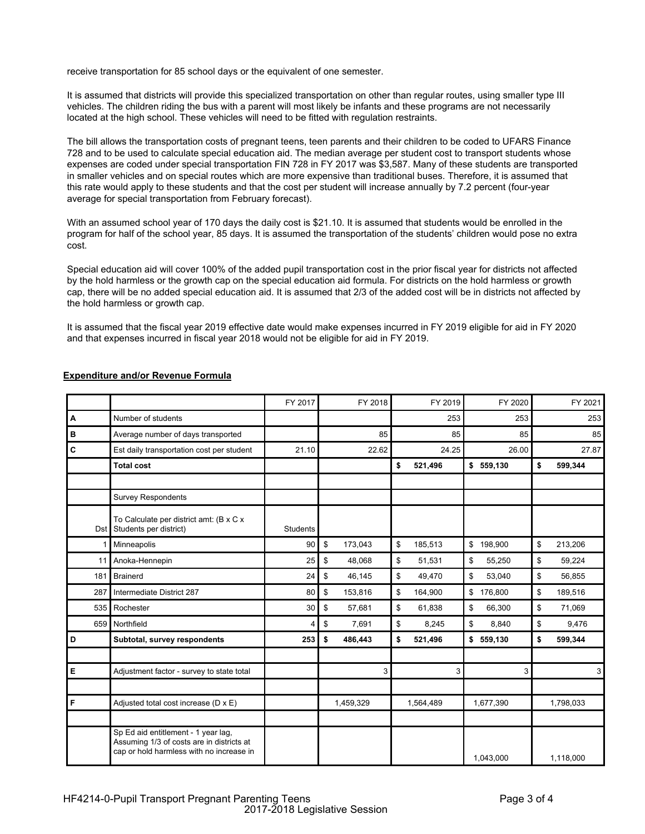receive transportation for 85 school days or the equivalent of one semester.

It is assumed that districts will provide this specialized transportation on other than regular routes, using smaller type III vehicles. The children riding the bus with a parent will most likely be infants and these programs are not necessarily located at the high school. These vehicles will need to be fitted with regulation restraints.

The bill allows the transportation costs of pregnant teens, teen parents and their children to be coded to UFARS Finance 728 and to be used to calculate special education aid. The median average per student cost to transport students whose expenses are coded under special transportation FIN 728 in FY 2017 was \$3,587. Many of these students are transported in smaller vehicles and on special routes which are more expensive than traditional buses. Therefore, it is assumed that this rate would apply to these students and that the cost per student will increase annually by 7.2 percent (four-year average for special transportation from February forecast).

With an assumed school year of 170 days the daily cost is \$21.10. It is assumed that students would be enrolled in the program for half of the school year, 85 days. It is assumed the transportation of the students' children would pose no extra cost.

Special education aid will cover 100% of the added pupil transportation cost in the prior fiscal year for districts not affected by the hold harmless or the growth cap on the special education aid formula. For districts on the hold harmless or growth cap, there will be no added special education aid. It is assumed that 2/3 of the added cost will be in districts not affected by the hold harmless or growth cap.

It is assumed that the fiscal year 2019 effective date would make expenses incurred in FY 2019 eligible for aid in FY 2020 and that expenses incurred in fiscal year 2018 would not be eligible for aid in FY 2019.

|       |                                                                                                                              | FY 2017         | FY 2018       | FY 2019       | FY 2020       | FY 2021       |
|-------|------------------------------------------------------------------------------------------------------------------------------|-----------------|---------------|---------------|---------------|---------------|
| A     | Number of students                                                                                                           |                 |               | 253           | 253           | 253           |
| в     | Average number of days transported                                                                                           |                 | 85            | 85            | 85            | 85            |
| C     | Est daily transportation cost per student                                                                                    | 21.10           | 22.62         | 24.25         | 26.00         | 27.87         |
|       | <b>Total cost</b>                                                                                                            |                 |               | \$<br>521,496 | \$559,130     | \$<br>599,344 |
|       |                                                                                                                              |                 |               |               |               |               |
|       | <b>Survey Respondents</b>                                                                                                    |                 |               |               |               |               |
| Dst I | To Calculate per district amt: (B x C x<br>Students per district)                                                            | <b>Students</b> |               |               |               |               |
|       | Minneapolis                                                                                                                  | 90              | \$<br>173,043 | \$<br>185,513 | \$<br>198,900 | \$<br>213,206 |
| 11    | Anoka-Hennepin                                                                                                               | 25              | \$<br>48,068  | \$<br>51,531  | \$<br>55,250  | \$<br>59,224  |
| 181   | <b>Brainerd</b>                                                                                                              | 24              | \$<br>46,145  | \$<br>49,470  | \$<br>53.040  | \$<br>56,855  |
| 287   | Intermediate District 287                                                                                                    | 80              | \$<br>153,816 | \$<br>164,900 | \$176,800     | \$<br>189,516 |
| 535   | Rochester                                                                                                                    | 30              | \$<br>57,681  | \$<br>61,838  | \$<br>66,300  | \$<br>71,069  |
| 659   | Northfield                                                                                                                   | 4               | \$<br>7,691   | \$<br>8,245   | \$<br>8,840   | \$<br>9,476   |
| D     | Subtotal, survey respondents                                                                                                 | 253             | \$<br>486,443 | \$<br>521,496 | \$559,130     | \$<br>599,344 |
|       |                                                                                                                              |                 |               |               |               |               |
| E     | Adjustment factor - survey to state total                                                                                    |                 | 3             | 3             | 3             | 3             |
|       |                                                                                                                              |                 |               |               |               |               |
| F     | Adjusted total cost increase (D x E)                                                                                         |                 | 1,459,329     | 1,564,489     | 1,677,390     | 1,798,033     |
|       |                                                                                                                              |                 |               |               |               |               |
|       | Sp Ed aid entitlement - 1 year lag,<br>Assuming 1/3 of costs are in districts at<br>cap or hold harmless with no increase in |                 |               |               | 1,043,000     | 1,118,000     |

# **Expenditure and/or Revenue Formula**